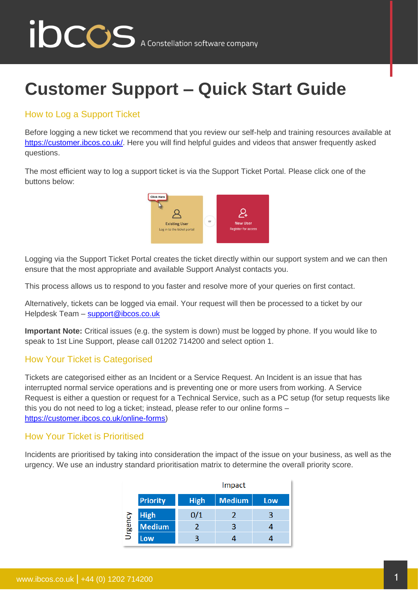# **IDCCS** A Constellation software company

### **Customer Support – Quick Start Guide**

#### How to Log a Support Ticket

Before logging a new ticket we recommend that you review our self-help and training resources available at https://customer.jbcos.co.uk/. Here you will find helpful guides and videos that answer frequently asked questions.

The most efficient way to log a support ticket is via the Support Ticket Portal. Please click one of the buttons below:



Logging via the Support Ticket Portal creates the ticket directly within our support system and we can then ensure that the most appropriate and available Support Analyst contacts you.

This process allows us to respond to you faster and resolve more of your queries on first contact.

Alternatively, tickets can be logged via email. Your request will then be processed to a ticket by our Helpdesk Team – [support@ibcos.co.uk](mailto:support@ibcos.co.uk)

**Important Note:** Critical issues (e.g. the system is down) must be logged by phone. If you would like to speak to 1st Line Support, please call 01202 714200 and select option 1.

#### How Your Ticket is Categorised

Tickets are categorised either as an Incident or a Service Request. An Incident is an issue that has interrupted normal service operations and is preventing one or more users from working. A Service Request is either a question or request for a Technical Service, such as a PC setup (for setup requests like this you do not need to log a ticket; instead, please refer to our online forms – [https://customer.ibcos.co.uk/online-forms\)](https://customer.ibcos.co.uk/online-forms)

#### How Your Ticket is Prioritised

Incidents are prioritised by taking into consideration the impact of the issue on your business, as well as the urgency. We use an industry standard prioritisation matrix to determine the overall priority score.

|         |                 | Impact      |               |     |
|---------|-----------------|-------------|---------------|-----|
|         | <b>Priority</b> | <b>High</b> | <b>Medium</b> | Low |
| Urgency | <b>High</b>     | 0/1         | 7             |     |
|         | <b>Medium</b>   |             | 3             |     |
|         | Low             |             |               |     |